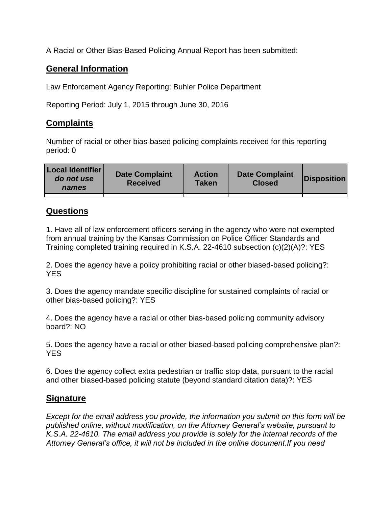A Racial or Other Bias-Based Policing Annual Report has been submitted:

## **General Information**

Law Enforcement Agency Reporting: Buhler Police Department

Reporting Period: July 1, 2015 through June 30, 2016

## **Complaints**

Number of racial or other bias-based policing complaints received for this reporting period: 0

| <b>Local Identifier</b><br>do not use<br>names | <b>Date Complaint</b><br><b>Received</b> | <b>Action</b><br><b>Taken</b> | <b>Date Complaint</b><br><b>Closed</b> | Disposition |
|------------------------------------------------|------------------------------------------|-------------------------------|----------------------------------------|-------------|
|                                                |                                          |                               |                                        |             |

## **Questions**

1. Have all of law enforcement officers serving in the agency who were not exempted from annual training by the Kansas Commission on Police Officer Standards and Training completed training required in K.S.A. 22-4610 subsection (c)(2)(A)?: YES

2. Does the agency have a policy prohibiting racial or other biased-based policing?: YES

3. Does the agency mandate specific discipline for sustained complaints of racial or other bias-based policing?: YES

4. Does the agency have a racial or other bias-based policing community advisory board?: NO

5. Does the agency have a racial or other biased-based policing comprehensive plan?: YES

6. Does the agency collect extra pedestrian or traffic stop data, pursuant to the racial and other biased-based policing statute (beyond standard citation data)?: YES

## **Signature**

*Except for the email address you provide, the information you submit on this form will be published online, without modification, on the Attorney General's website, pursuant to K.S.A. 22-4610. The email address you provide is solely for the internal records of the Attorney General's office, it will not be included in the online document.If you need*